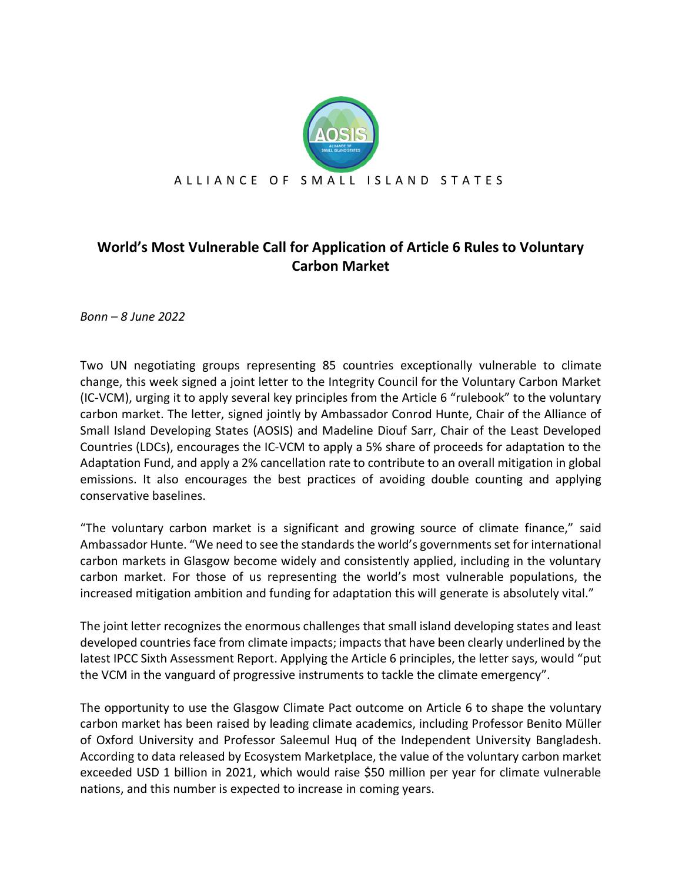

## **World's Most Vulnerable Call for Application of Article 6 Rules to Voluntary Carbon Market**

*Bonn – 8 June 2022*

Two UN negotiating groups representing 85 countries exceptionally vulnerable to climate change, this week signed a joint letter to the Integrity Council for the Voluntary Carbon Market (IC-VCM), urging it to apply several key principles from the Article 6 "rulebook" to the voluntary carbon market. The letter, signed jointly by Ambassador Conrod Hunte, Chair of the Alliance of Small Island Developing States (AOSIS) and Madeline Diouf Sarr, Chair of the Least Developed Countries (LDCs), encourages the IC-VCM to apply a 5% share of proceeds for adaptation to the Adaptation Fund, and apply a 2% cancellation rate to contribute to an overall mitigation in global emissions. It also encourages the best practices of avoiding double counting and applying conservative baselines.

"The voluntary carbon market is a significant and growing source of climate finance," said Ambassador Hunte. "We need to see the standards the world's governments set for international carbon markets in Glasgow become widely and consistently applied, including in the voluntary carbon market. For those of us representing the world's most vulnerable populations, the increased mitigation ambition and funding for adaptation this will generate is absolutely vital."

The joint letter recognizes the enormous challenges that small island developing states and least developed countries face from climate impacts; impacts that have been clearly underlined by the latest IPCC Sixth Assessment Report. Applying the Article 6 principles, the letter says, would "put the VCM in the vanguard of progressive instruments to tackle the climate emergency".

The opportunity to use the Glasgow Climate Pact outcome on Article 6 to shape the voluntary carbon market has been raised by leading climate academics, including Professor Benito Müller of Oxford University and Professor Saleemul Huq of the Independent University Bangladesh. According to data released by Ecosystem Marketplace, the value of the voluntary carbon market exceeded USD 1 billion in 2021, which would raise \$50 million per year for climate vulnerable nations, and this number is expected to increase in coming years.